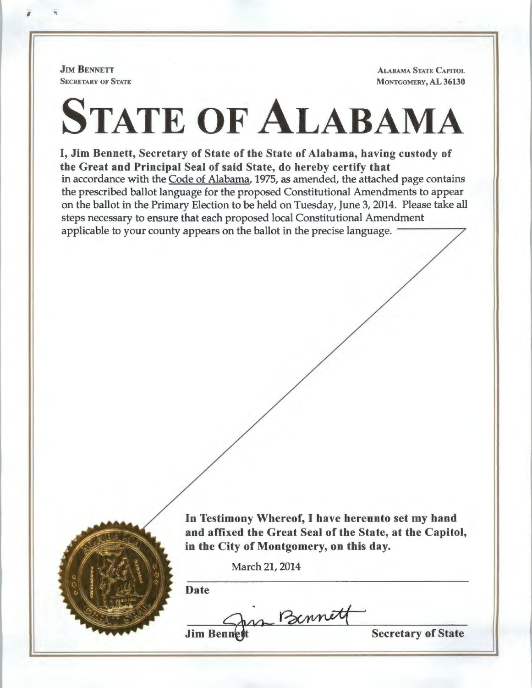**JIM BENNETT** SECRETARY OF STATE

 $\mathbf{I}$  .

ALABAMA STATE CAPITOL MONTGOMERY, AL 36130

# STATE OF ALABAMA

I, Jim Bennett, Secretary of State of the State of Alabama, having custody of the Great and Principal Seal of said State, do hereby certify that in accordance with the Code of Alabama, 1975, as amended, the attached page contains the prescribed ballot language for the proposed Constitutional Amendments to appear on the ballot in the Primary Election to be held on Tuesday, June 3, 2014. Please take all steps necessary to ensure that each proposed local Constitutional Amendment applicable to your county appears on the ballot in the precise language.



In Testimony Whereof, I have hereunto set my band and affixed the Great Seal of the State, at the Capitol, in the City of Montgomery, on this day.

March 21, 2014

Date

in Bennett

**Jim Ben** 

Secretary of State